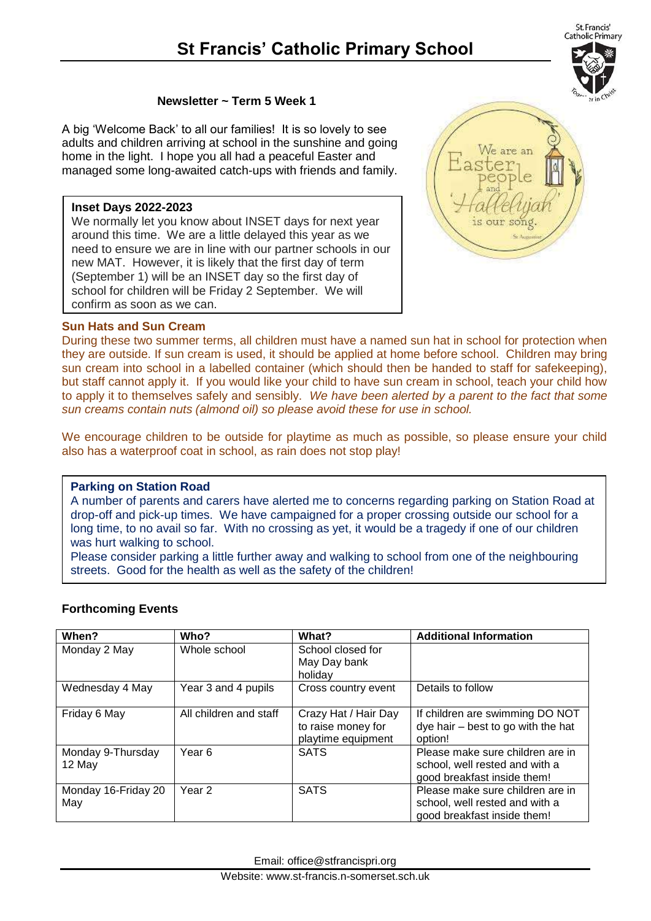## **St Francis' Catholic Primary School**

## **Newsletter ~ Term 5 Week 1**

A big 'Welcome Back' to all our families! It is so lovely to see adults and children arriving at school in the sunshine and going home in the light. I hope you all had a peaceful Easter and managed some long-awaited catch-ups with friends and family.

## **Inset Days 2022-2023**

We normally let you know about INSET days for next year around this time. We are a little delayed this year as we need to ensure we are in line with our partner schools in our new MAT. However, it is likely that the first day of term (September 1) will be an INSET day so the first day of school for children will be Friday 2 September. We will confirm as soon as we can.



## **Sun Hats and Sun Cream**

During these two summer terms, all children must have a named sun hat in school for protection when they are outside. If sun cream is used, it should be applied at home before school. Children may bring sun cream into school in a labelled container (which should then be handed to staff for safekeeping), but staff cannot apply it. If you would like your child to have sun cream in school, teach your child how to apply it to themselves safely and sensibly. *We have been alerted by a parent to the fact that some sun creams contain nuts (almond oil) so please avoid these for use in school.*

We encourage children to be outside for playtime as much as possible, so please ensure your child also has a waterproof coat in school, as rain does not stop play!

#### **Parking on Station Road**

A number of parents and carers have alerted me to concerns regarding parking on Station Road at drop-off and pick-up times. We have campaigned for a proper crossing outside our school for a long time, to no avail so far. With no crossing as yet, it would be a tragedy if one of our children was hurt walking to school.

Please consider parking a little further away and walking to school from one of the neighbouring streets. Good for the health as well as the safety of the children!

## **Forthcoming Events**

| When?                       | Who?                   | What?                                                            | <b>Additional Information</b>                                                                     |
|-----------------------------|------------------------|------------------------------------------------------------------|---------------------------------------------------------------------------------------------------|
| Monday 2 May                | Whole school           | School closed for<br>May Day bank<br>holiday                     |                                                                                                   |
| Wednesday 4 May             | Year 3 and 4 pupils    | Cross country event                                              | Details to follow                                                                                 |
| Friday 6 May                | All children and staff | Crazy Hat / Hair Day<br>to raise money for<br>playtime equipment | If children are swimming DO NOT<br>$dye$ hair $-$ best to go with the hat<br>option!              |
| Monday 9-Thursday<br>12 May | Year 6                 | <b>SATS</b>                                                      | Please make sure children are in<br>school, well rested and with a<br>good breakfast inside them! |
| Monday 16-Friday 20<br>May  | Year 2                 | <b>SATS</b>                                                      | Please make sure children are in<br>school, well rested and with a<br>good breakfast inside them! |

Email: office@stfrancispri.org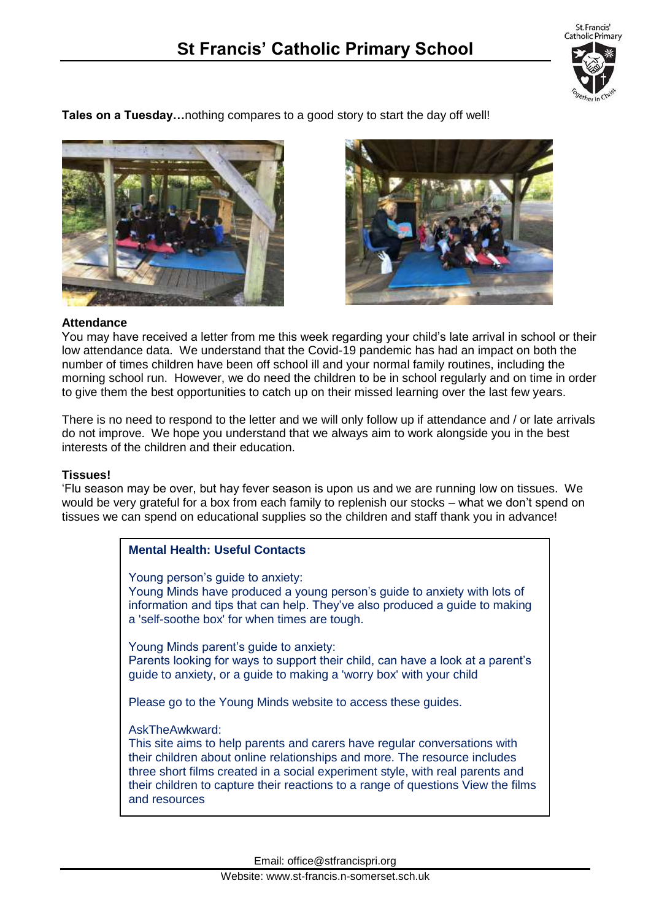

**Tales on a Tuesday…**nothing compares to a good story to start the day off well!





#### **Attendance**

You may have received a letter from me this week regarding your child's late arrival in school or their low attendance data. We understand that the Covid-19 pandemic has had an impact on both the number of times children have been off school ill and your normal family routines, including the morning school run. However, we do need the children to be in school regularly and on time in order to give them the best opportunities to catch up on their missed learning over the last few years.

There is no need to respond to the letter and we will only follow up if attendance and / or late arrivals do not improve. We hope you understand that we always aim to work alongside you in the best interests of the children and their education.

#### **Tissues!**

'Flu season may be over, but hay fever season is upon us and we are running low on tissues. We would be very grateful for a box from each family to replenish our stocks – what we don't spend on tissues we can spend on educational supplies so the children and staff thank you in advance!

## **Mental Health: Useful Contacts**

Young person's quide to anxiety: Young Minds have produced a young person's guide to anxiety with lots of information and tips that can help. They've also produced a guide to making a 'self-soothe box' for when times are tough.

Young Minds parent's guide to anxiety: Parents looking for ways to support their child, can have a look at a parent's guide to anxiety, or a guide to making a 'worry box' with your child

Please go to the Young Minds website to access these guides.

#### AskTheAwkward:

This site aims to help parents and carers have regular conversations with their children about online relationships and more. The resource includes three short films created in a social experiment style, with real parents and their children to capture their reactions to a range of questions View the films and resources

Email: office@stfrancispri.org